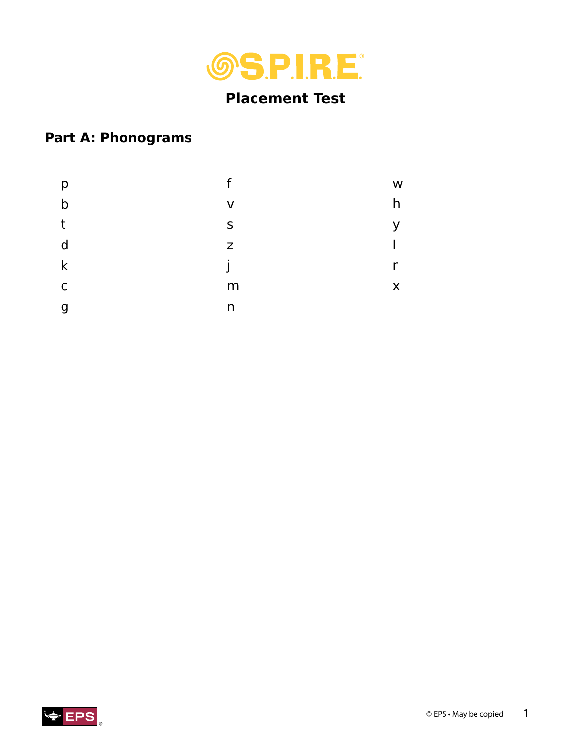

# **Placement Test**

## **Part A: Phonograms**

| р            | f | W |
|--------------|---|---|
| $\mathsf b$  | V | h |
| t            | S | V |
| d            | Z |   |
| $\mathsf k$  |   | r |
| $\mathsf{C}$ | m | X |
| g            | n |   |

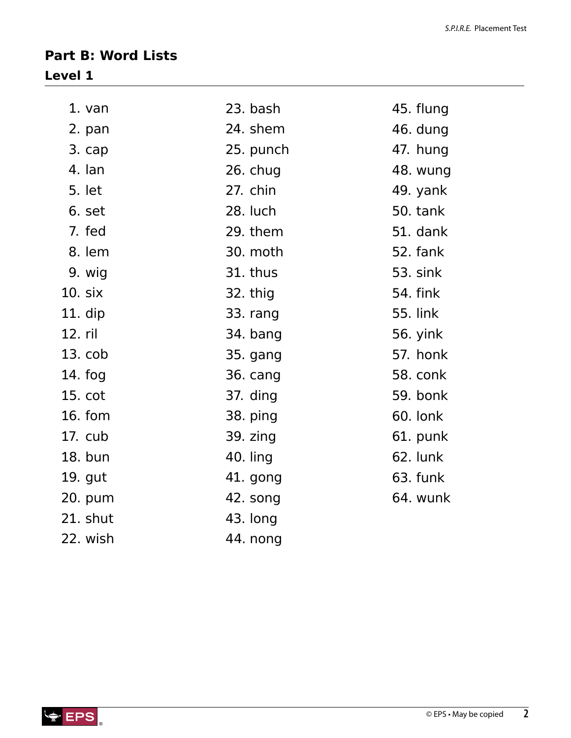### **Part B: Word Lists Level 1**

| $1. van$    | 23. bash  | 45. flung       |
|-------------|-----------|-----------------|
| 2. pan      | 24. shem  | 46. dung        |
| 3. cap      | 25. punch | 47. hung        |
| 4. lan      | 26. chug  | 48. wung        |
| 5. let      | 27. chin  | 49. yank        |
| 6. set      | 28. luch  | 50. tank        |
| 7. fed      | 29. them  | 51. dank        |
| 8. lem      | 30. moth  | 52. fank        |
| 9. wig      | 31. thus  | 53. sink        |
| 10. six     | 32. thig  | <b>54. fink</b> |
| 11. dip     | 33. rang  | <b>55. link</b> |
| 12. ril     | 34. bang  | 56. yink        |
| $13.$ $cob$ | 35. gang  | 57. honk        |
| $14.$ fog   | 36. cang  | 58. conk        |
| 15. cot     | 37. ding  | 59. bonk        |
| 16. fom     | 38. ping  | 60. lonk        |
| 17. cub     | 39. zing  | 61. punk        |
| 18. bun     | 40. ling  | 62. lunk        |
| 19. gut     | 41. gong  | 63. funk        |
| 20. pum     | 42. song  | 64. wunk        |
| 21. shut    | 43. long  |                 |
| 22. wish    | 44. nong  |                 |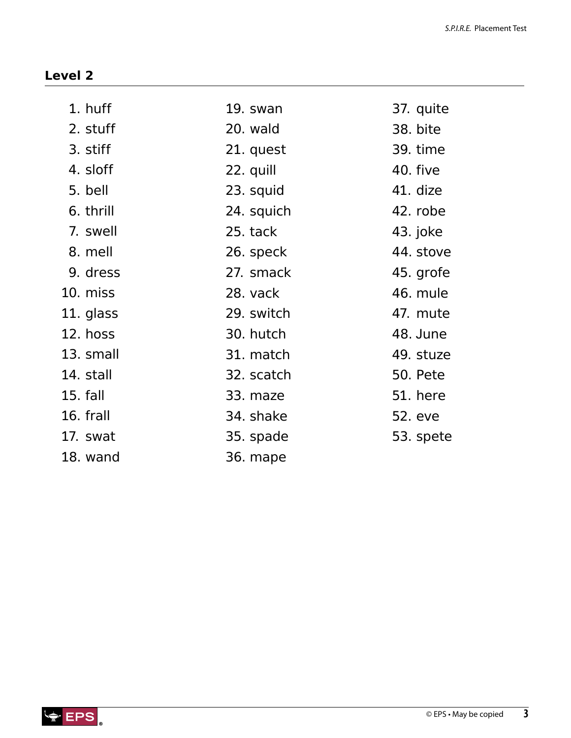| 1. huff   | 19. swan   | 37. quite       |
|-----------|------------|-----------------|
| 2. stuff  | 20. wald   | 38. bite        |
| 3. stiff  | 21. quest  | 39. time        |
| 4. sloff  | 22. quill  | 40. five        |
| 5. bell   | 23. squid  | 41. dize        |
| 6. thrill | 24. squich | 42. robe        |
| 7. swell  | 25. tack   | 43. joke        |
| 8. mell   | 26. speck  | 44. stove       |
| 9. dress  | 27. smack  | 45. grofe       |
| 10. miss  | 28. vack   | 46. mule        |
| 11. glass | 29. switch | 47. mute        |
| 12. hoss  | 30. hutch  | 48. June        |
| 13. small | 31. match  | 49. stuze       |
| 14. stall | 32. scatch | <b>50. Pete</b> |
| 15. fall  | 33. maze   | <b>51. here</b> |
| 16. frall | 34. shake  | 52. eve         |
| 17. swat  | 35. spade  | 53. spete       |
| 18. wand  | 36. mape   |                 |

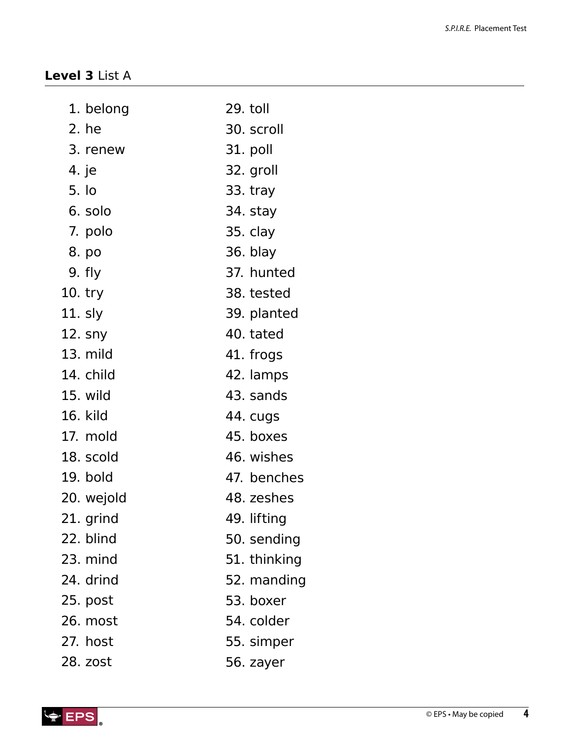### **Level 3** List A

| 1. belong  | 29. toll     |
|------------|--------------|
| 2. he      | 30. scroll   |
| 3. renew   | 31. poll     |
| 4. je      | 32. groll    |
| 5. lo      | 33. tray     |
| 6. solo    | 34. stay     |
| 7. polo    | 35. clay     |
| 8. po      | 36. blay     |
| 9. fly     | 37. hunted   |
| 10. try    | 38. tested   |
| 11. sly    | 39. planted  |
| 12. sny    | 40. tated    |
| $13.$ mild | 41. frogs    |
| 14. child  | 42. lamps    |
| 15. wild   | 43. sands    |
| 16. kild   | 44. cugs     |
| 17. mold   | 45. boxes    |
| 18. scold  | 46. wishes   |
| 19. bold   | 47. benches  |
| 20. wejold | 48. zeshes   |
| 21. grind  | 49. lifting  |
| 22. blind  | 50. sending  |
| 23. mind   | 51. thinking |
| 24. drind  | 52. manding  |
| 25. post   | 53. boxer    |
| 26. most   | 54. colder   |
| 27. host   | 55. simper   |
| 28. zost   | 56. zayer    |

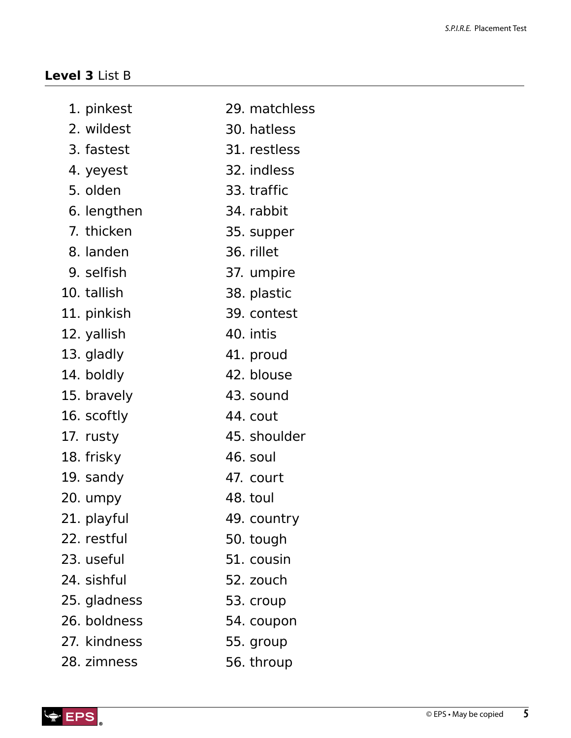#### **Level 3** List B

- 29. matchless 1. pinkest
- 30. hatless 2. wildest
- 31. restless 3. fastest
- 32. indless 4. yeyest
- 33. traffic 5. olden
- 34. rabbit 6. lengthen
- 35. supper 7. thicken
- 36. rillet 8. landen
- 37. umpire 9. selfish
- 38. plastic 10. tallish
- 39. contest 11. pinkish
- 40. intis 12. yallish
- 41. proud 13. gladly

42. blouse

43. sound

45. shoulder

44. cout

46. soul

47. court

49. country

50. tough

51. cousin

52. zouch

53. croup

48. toul

- 14. boldly
- 15. bravely
- 16. scoftly
- 17. rusty
- 18. frisky
- 19. sandy
- 20. umpy
- 21. playful
- 22. restful
- 23. useful
- 
- 24. sishful
- 25. gladness
- 54. coupon 26. boldness
- 55. group 27. kindness
- 56. throup 28. zimness

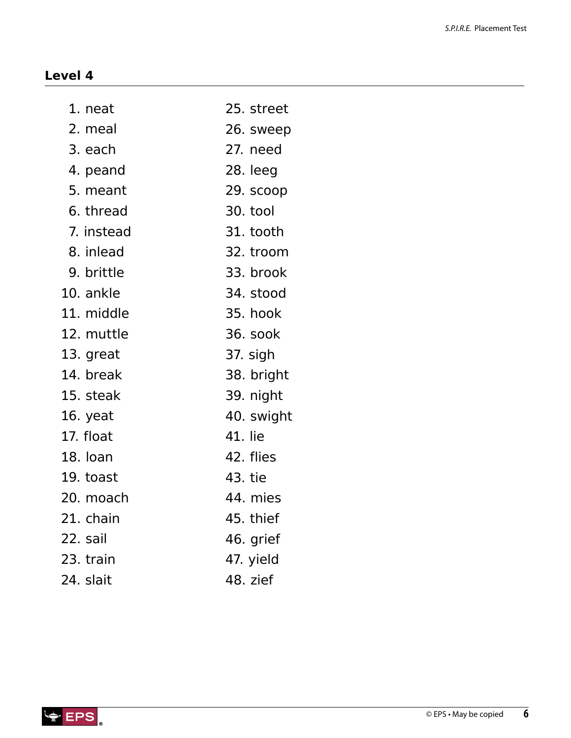| 1. neat    | 25. street |
|------------|------------|
| 2. meal    | 26. sweep  |
| 3. each    | 27. need   |
| 4. peand   | 28. leeg   |
| 5. meant   | 29. scoop  |
| 6. thread  | 30. tool   |
| 7. instead | 31. tooth  |
| 8. inlead  | 32. troom  |
| 9. brittle | 33. brook  |
| 10. ankle  | 34. stood  |
| 11. middle | 35. hook   |
| 12. muttle | 36. sook   |
| 13. great  | 37. sigh   |
| 14. break  | 38. bright |
| 15. steak  | 39. night  |
| 16. yeat   | 40. swight |
| 17. float  | 41. lie    |
| 18. loan   | 42. flies  |
| 19. toast  | 43. tie    |
| 20. moach  | 44. mies   |
| 21. chain  | 45. thief  |
| 22. sail   | 46. grief  |
| 23. train  | 47. yield  |
| 24. slait  | 48. zief   |

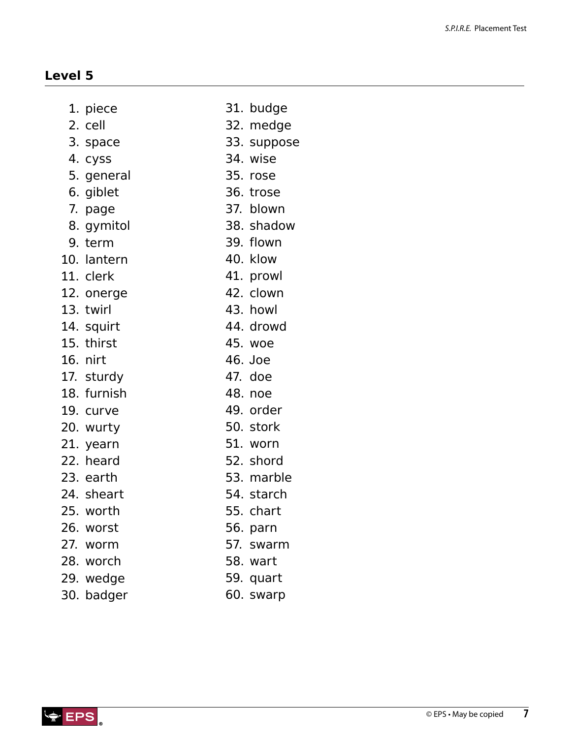| piece |
|-------|
|       |

- 2. cell
- 3. space
- 4. cyss
- 5. general
- 6. giblet
- 7. page
- 8. gymitol
- 9. term
- 10. lantern
- 11. clerk
- 12. onerge
- 13. twirl
- 14. squirt
- 15. thirst
- 16. nirt
- 17. sturdy
- 18. furnish
- 19. curve
- 20. wurty
- 21. yearn
- 22. heard
- 23. earth
- 24. sheart
- 25. worth
- 26. worst
- 27. worm
- 28. worch
- 
- 29. wedge
- 30. badger
- 31. budge
	- 32. medge
	- 33. suppose
	- 34. wise
	- 35. rose
	- 36. trose
	- 37. blown
	- 38. shadow
	- 39. flown
	- 40. klow
- 41. prowl
	- 42. clown
- 43. howl
- 44. drowd
	- 45. woe
- 46. Joe
- 47. doe
- 48. noe
- 
- 49. order
- 50. stork
- 51. worn
- 52. shord
- 53. marble
- 54. starch
- 55. chart
- 56. parn
- 57. swarm
- 58. wart
- 59. quart
- 60. swarp